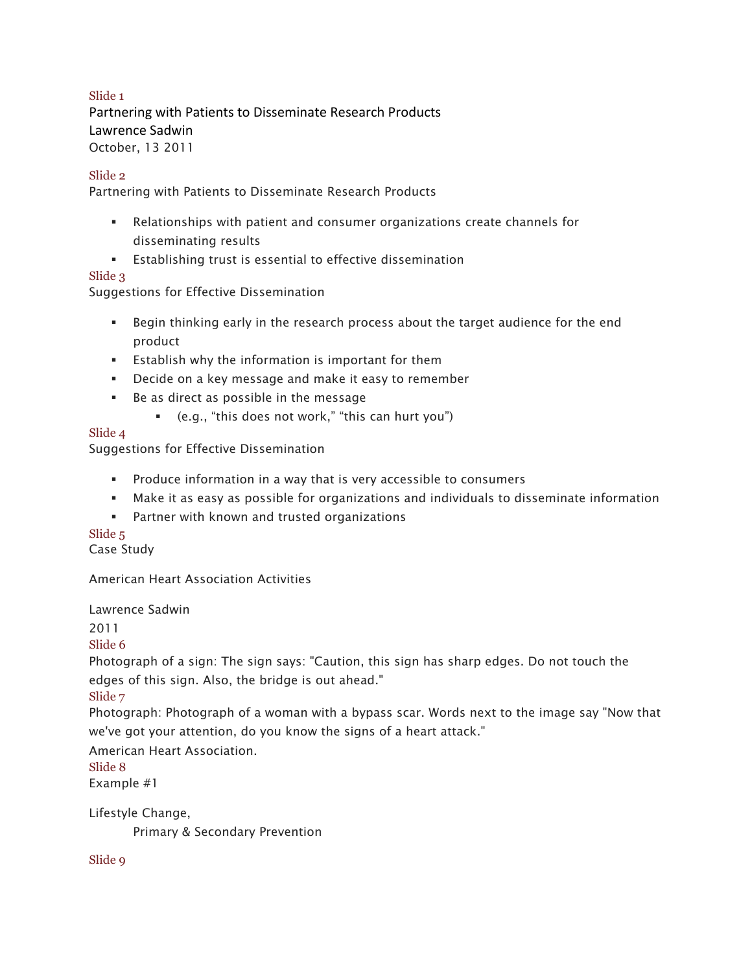### Slide 1

 Partnering with Patients to Disseminate Research Products Lawrence Sadwin October, 13 2011

#### Slide 2

Partnering with Patients to Disseminate Research Products

- Relationships with patient and consumer organizations create channels for disseminating results
- Establishing trust is essential to effective dissemination

### Slide 3

Suggestions for Effective Dissemination

- Begin thinking early in the research process about the target audience for the end product
- Establish why the information is important for them
- Decide on a key message and make it easy to remember
- Be as direct as possible in the message
	- § (e.g., "this does not work," "this can hurt you")

### Slide 4

Suggestions for Effective Dissemination

- Produce information in a way that is very accessible to consumers
- § Make it as easy as possible for organizations and individuals to disseminate information
- Partner with known and trusted organizations

## Slide 5

Case Study

American Heart Association Activities

Lawrence Sadwin

2011

Slide 6

 Photograph of a sign: The sign says: "Caution, this sign has sharp edges. Do not touch the edges of this sign. Also, the bridge is out ahead."

Slide 7

 Photograph: Photograph of a woman with a bypass scar. Words next to the image say "Now that we've got your attention, do you know the signs of a heart attack."

American Heart Association.

Slide 8

Example #1

Lifestyle Change,

Primary & Secondary Prevention

Slide 9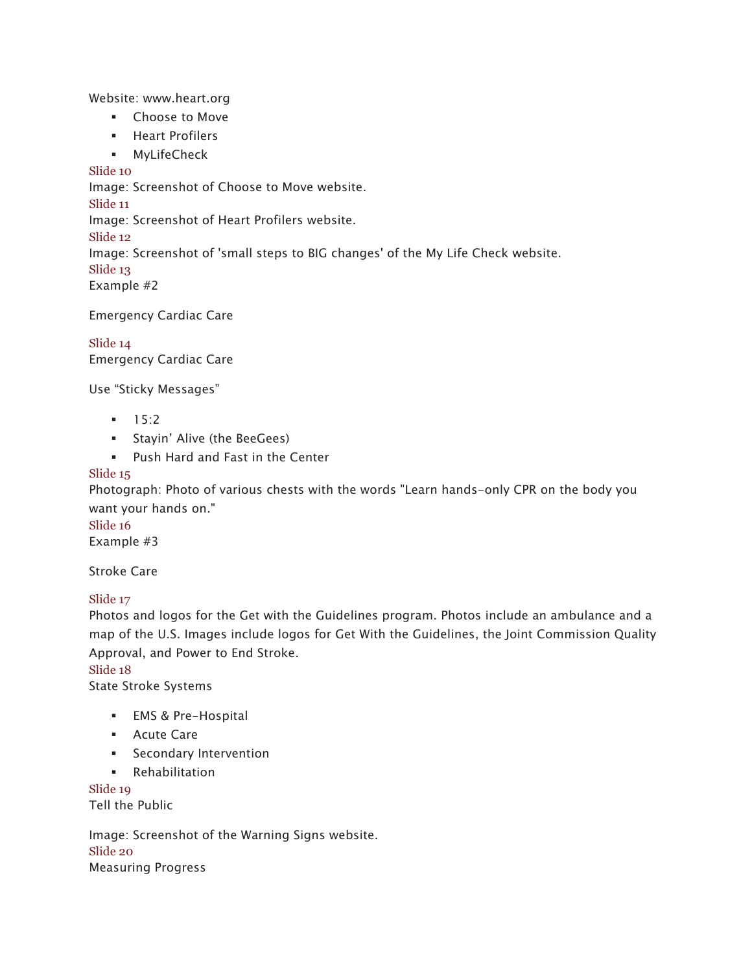Website: www.heart.org

- Choose to Move
- § Heart Profilers
- § MyLifeCheck

Slide 10

Image: Screenshot of Choose to Move website.

Slide 11

Image: Screenshot of Heart Profilers website.

Slide 12

Image: Screenshot of 'small steps to BIG changes' of the My Life Check website.

Slide 13

Example #2

Emergency Cardiac Care

Slide 14 Emergency Cardiac Care

Use "Sticky Messages"

- $-15:2$
- § Stayin' Alive (the BeeGees)
- Push Hard and Fast in the Center

## Slide 15

 Photograph: Photo of various chests with the words "Learn hands-only CPR on the body you want your hands on."

Slide 16

Example #3

Stroke Care

Slide 17

 Photos and logos for the Get with the Guidelines program. Photos include an ambulance and a map of the U.S. Images include logos for Get With the Guidelines, the Joint Commission Quality Approval, and Power to End Stroke.

Slide 18

State Stroke Systems

- EMS & Pre-Hospital
- Acute Care
- **•** Secondary Intervention
- § Rehabilitation

 Tell the Public Slide 19

 Image: Screenshot of the Warning Signs website. Slide 20 Measuring Progress